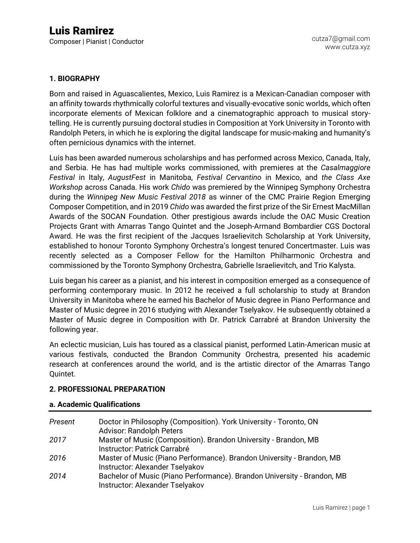#### **1. BIOGRAPHY**

Born and raised in Aguascalientes, Mexico, Luis Ramirez is a Mexican-Canadian composer with an affinity towards rhythmically colorful textures and visually-evocative sonic worlds, which often incorporate elements of Mexican folklore and a cinematographic approach to musical storytelling. He is currently pursuing doctoral studies in Composition at York University in Toronto with Randolph Peters, in which he is exploring the digital landscape for music-making and humanity's often pernicious dynamics with the internet.

Luis has been awarded numerous scholarships and has performed across Mexico, Canada, Italy, and Serbia. He has had multiple works commissioned, with premieres at the *Casalmaggiore Festival* in Italy, *AugustFest* in Manitoba, *Festival Cervantino* in Mexico, and *the Class Axe Workshop* across Canada. His work *Chido* was premiered by the Winnipeg Symphony Orchestra during the *Winnipeg New Music Festival 2018* as winner of the CMC Prairie Region Emerging Composer Competition, and in 2019 *Chido* was awarded the first prize of the Sir Ernest MacMillan Awards of the SOCAN Foundation. Other prestigious awards include the OAC Music Creation Projects Grant with Amarras Tango Quintet and the Joseph-Armand Bombardier CGS Doctoral Award. He was the first recipient of the Jacques Israelievitch Scholarship at York University, established to honour Toronto Symphony Orchestra's longest tenured Concertmaster. Luis was recently selected as a Composer Fellow for the Hamilton Philharmonic Orchestra and commissioned by the Toronto Symphony Orchestra, Gabrielle Israelievitch, and Trio Kalysta.

Luis began his career as a pianist, and his interest in composition emerged as a consequence of performing contemporary music. In 2012 he received a full scholarship to study at Brandon University in Manitoba where he earned his Bachelor of Music degree in Piano Performance and Master of Music degree in 2016 studying with Alexander Tselyakov. He subsequently obtained a Master of Music degree in Composition with Dr. Patrick Carrabré at Brandon University the following year.

An eclectic musician, Luis has toured as a classical pianist, performed Latin-American music at various festivals, conducted the Brandon Community Orchestra, presented his academic research at conferences around the world, and is the artistic director of the Amarras Tango Quintet.

#### **2. PROFESSIONAL PREPARATION**

#### **a. Academic Qualifications**

| Present | Doctor in Philosophy (Composition). York University - Toronto, ON<br><b>Advisor: Randolph Peters</b>       |
|---------|------------------------------------------------------------------------------------------------------------|
| 2017    | Master of Music (Composition). Brandon University - Brandon, MB<br>Instructor: Patrick Carrabré            |
| 2016    | Master of Music (Piano Performance). Brandon University - Brandon, MB<br>Instructor: Alexander Tselyakov   |
| 2014    | Bachelor of Music (Piano Performance). Brandon University - Brandon, MB<br>Instructor: Alexander Tselyakov |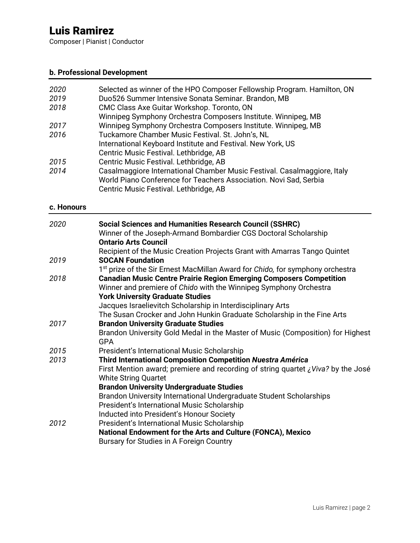Composer | Pianist | Conductor

## **b. Professional Development**

| 2020 | Selected as winner of the HPO Composer Fellowship Program. Hamilton, ON  |
|------|--------------------------------------------------------------------------|
| 2019 | Duo526 Summer Intensive Sonata Seminar. Brandon, MB                      |
| 2018 | CMC Class Axe Guitar Workshop. Toronto, ON                               |
|      | Winnipeg Symphony Orchestra Composers Institute. Winnipeg, MB            |
| 2017 | Winnipeg Symphony Orchestra Composers Institute. Winnipeg, MB            |
| 2016 | Tuckamore Chamber Music Festival. St. John's, NL                         |
|      | International Keyboard Institute and Festival. New York, US              |
|      | Centric Music Festival. Lethbridge, AB                                   |
| 2015 | Centric Music Festival. Lethbridge, AB                                   |
| 2014 | Casalmaggiore International Chamber Music Festival. Casalmaggiore, Italy |
|      | World Piano Conference for Teachers Association. Novi Sad, Serbia        |
|      | Centric Music Festival. Lethbridge, AB                                   |

### **c. Honours**

| <b>Social Sciences and Humanities Research Council (SSHRC)</b>                               |
|----------------------------------------------------------------------------------------------|
| Winner of the Joseph-Armand Bombardier CGS Doctoral Scholarship                              |
| <b>Ontario Arts Council</b>                                                                  |
| Recipient of the Music Creation Projects Grant with Amarras Tango Quintet                    |
| <b>SOCAN Foundation</b>                                                                      |
| 1 <sup>st</sup> prize of the Sir Ernest MacMillan Award for Chido, for symphony orchestra    |
| <b>Canadian Music Centre Prairie Region Emerging Composers Competition</b>                   |
| Winner and premiere of Chido with the Winnipeg Symphony Orchestra                            |
| <b>York University Graduate Studies</b>                                                      |
| Jacques Israelievitch Scholarship in Interdisciplinary Arts                                  |
| The Susan Crocker and John Hunkin Graduate Scholarship in the Fine Arts                      |
| <b>Brandon University Graduate Studies</b>                                                   |
| Brandon University Gold Medal in the Master of Music (Composition) for Highest<br><b>GPA</b> |
| President's International Music Scholarship                                                  |
| <b>Third International Composition Competition Nuestra América</b>                           |
| First Mention award; premiere and recording of string quartet $\zeta$ Viva? by the José      |
| <b>White String Quartet</b>                                                                  |
| <b>Brandon University Undergraduate Studies</b>                                              |
| Brandon University International Undergraduate Student Scholarships                          |
| President's International Music Scholarship                                                  |
| Inducted into President's Honour Society                                                     |
| President's International Music Scholarship                                                  |
| National Endowment for the Arts and Culture (FONCA), Mexico                                  |
| Bursary for Studies in A Foreign Country                                                     |
|                                                                                              |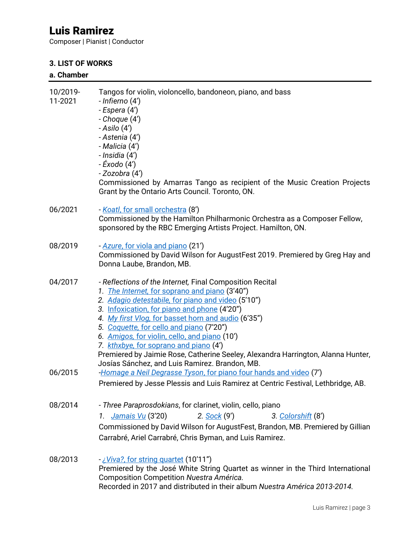Composer | Pianist | Conductor

## **3. LIST OF WORKS**

## **a. Chamber**

| 10/2019-<br>11-2021 | Tangos for violin, violoncello, bandoneon, piano, and bass<br>- Infierno (4')<br>- Espera (4')<br>- Choque (4')<br>$- Asilo (4')$<br>- Astenia (4')<br>- Malicia (4')<br>- Insidia (4')<br>- Éxodo (4')<br>- Zozobra (4')<br>Commissioned by Amarras Tango as recipient of the Music Creation Projects<br>Grant by the Ontario Arts Council. Toronto, ON.                                                                                                                                                                                            |
|---------------------|------------------------------------------------------------------------------------------------------------------------------------------------------------------------------------------------------------------------------------------------------------------------------------------------------------------------------------------------------------------------------------------------------------------------------------------------------------------------------------------------------------------------------------------------------|
| 06/2021             | - Koatl, for small orchestra (8')<br>Commissioned by the Hamilton Philharmonic Orchestra as a Composer Fellow,<br>sponsored by the RBC Emerging Artists Project. Hamilton, ON.                                                                                                                                                                                                                                                                                                                                                                       |
| 08/2019             | - Azure, for viola and piano (21')<br>Commissioned by David Wilson for AugustFest 2019. Premiered by Greg Hay and<br>Donna Laube, Brandon, MB.                                                                                                                                                                                                                                                                                                                                                                                                       |
| 04/2017             | - Reflections of the Internet, Final Composition Recital<br>1. The Internet, for soprano and piano (3'40")<br>2. Adagio detestabile, for piano and video (5'10")<br>3. Infoxication, for piano and phone (4'20")<br>4. My first Vlog, for basset horn and audio (6'35")<br>5. Coquette, for cello and piano (7'20")<br>6. Amigos, for violin, cello, and piano (10')<br>7. kthxbye, for soprano and piano (4')<br>Premiered by Jaimie Rose, Catherine Seeley, Alexandra Harrington, Alanna Hunter,<br>Josías Sánchez, and Luis Ramirez. Brandon, MB. |
| 06/2015             | Homage a Neil Degrasse Tyson, for piano four hands and video (7')<br>Premiered by Jesse Plessis and Luis Ramirez at Centric Festival, Lethbridge, AB.                                                                                                                                                                                                                                                                                                                                                                                                |
| 08/2014             | - Three Paraprosdokians, for clarinet, violin, cello, piano<br>1. Jamais Vu (3'20)<br>2. Sock (9')<br>3. Colorshift (8')<br>Commissioned by David Wilson for AugustFest, Brandon, MB. Premiered by Gillian<br>Carrabré, Ariel Carrabré, Chris Byman, and Luis Ramirez.                                                                                                                                                                                                                                                                               |
| 08/2013             | <u>-¿Viva?, for string quartet</u> (10'11")<br>Premiered by the José White String Quartet as winner in the Third International<br>Composition Competition Nuestra América.<br>Recorded in 2017 and distributed in their album Nuestra América 2013-2014.                                                                                                                                                                                                                                                                                             |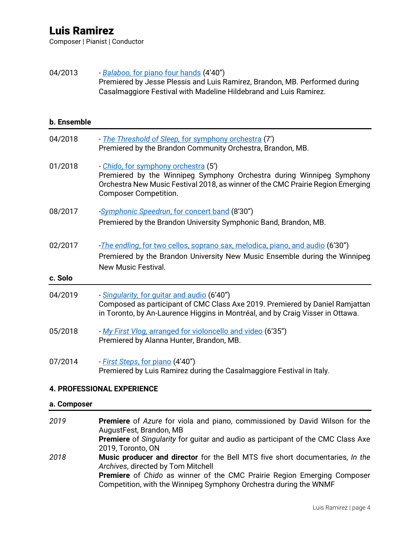Composer | Pianist | Conductor

### 04/2013 *- Balaboo,* [for piano four hands](https://youtu.be/B1eBKmcG6dQ) (4'40") Premiered by Jesse Plessis and Luis Ramirez, Brandon, MB. Performed during Casalmaggiore Festival with Madeline Hildebrand and Luis Ramirez.

#### **b. Ensemble**

| 04/2018            | - The Threshold of Sleep, for symphony orchestra (7')<br>Premiered by the Brandon Community Orchestra, Brandon, MB.                                                                                                              |
|--------------------|----------------------------------------------------------------------------------------------------------------------------------------------------------------------------------------------------------------------------------|
| 01/2018            | - Chido, for symphony orchestra (5')<br>Premiered by the Winnipeg Symphony Orchestra during Winnipeg Symphony<br>Orchestra New Music Festival 2018, as winner of the CMC Prairie Region Emerging<br><b>Composer Competition.</b> |
| 08/2017            | -Symphonic Speedrun, for concert band (8'30")<br>Premiered by the Brandon University Symphonic Band, Brandon, MB.                                                                                                                |
| 02/2017<br>c. Solo | - <i>The endling, for two cellos, soprano sax, melodica, piano, and audio</i> (6'30")<br>Premiered by the Brandon University New Music Ensemble during the Winnipeg<br>New Music Festival.                                       |
|                    |                                                                                                                                                                                                                                  |
| 04/2019            | - Singularity, for guitar and audio (6'40")<br>Composed as participant of CMC Class Axe 2019. Premiered by Daniel Ramjattan<br>in Toronto, by An-Laurence Higgins in Montréal, and by Craig Visser in Ottawa.                    |
| 05/2018            | - My First Vlog, arranged for violoncello and video (6'35")<br>Premiered by Alanna Hunter, Brandon, MB.                                                                                                                          |
| 07/2014            | - <i>First Steps, for piano</i> (4'40")<br>Premiered by Luis Ramirez during the Casalmaggiore Festival in Italy.                                                                                                                 |

#### **4. PROFESSIONAL EXPERIENCE**

#### **a. Composer**

| 2019 | <b>Premiere</b> of Azure for viola and piano, commissioned by David Wilson for the<br>AugustFest, Brandon, MB                                                                                                                                                                     |
|------|-----------------------------------------------------------------------------------------------------------------------------------------------------------------------------------------------------------------------------------------------------------------------------------|
|      | <b>Premiere</b> of <i>Singularity</i> for guitar and audio as participant of the CMC Class Axe<br>2019, Toronto, ON                                                                                                                                                               |
| 2018 | Music producer and director for the Bell MTS five short documentaries, In the<br>Archives, directed by Tom Mitchell<br><b>Premiere</b> of <i>Chido</i> as winner of the CMC Prairie Region Emerging Composer<br>Competition, with the Winnipeg Symphony Orchestra during the WNMF |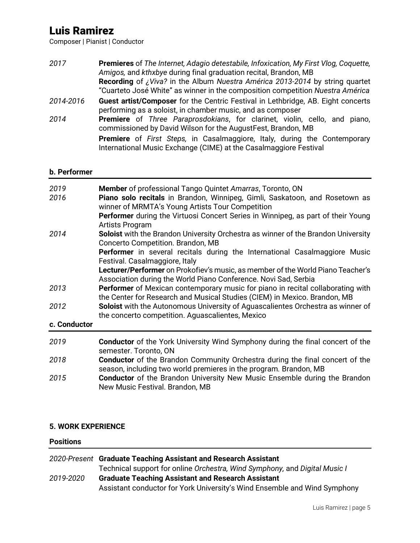Composer | Pianist | Conductor

| 2017      | <b>Premieres</b> of The Internet, Adagio detestabile, Infoxication, My First Vlog, Coquette,<br>Amigos, and kthxbye during final graduation recital, Brandon, MB<br>Recording of ¿Viva? in the Album Nuestra América 2013-2014 by string quartet<br>"Cuarteto José White" as winner in the composition competition Nuestra América |
|-----------|------------------------------------------------------------------------------------------------------------------------------------------------------------------------------------------------------------------------------------------------------------------------------------------------------------------------------------|
| 2014-2016 | Guest artist/Composer for the Centric Festival in Lethbridge, AB. Eight concerts<br>performing as a soloist, in chamber music, and as composer                                                                                                                                                                                     |
| 2014      | Premiere of Three Paraprosdokians, for clarinet, violin, cello, and piano,<br>commissioned by David Wilson for the AugustFest, Brandon, MB                                                                                                                                                                                         |
|           | <b>Premiere</b> of <i>First Steps</i> , in Casalmaggiore, Italy, during the Contemporary<br>International Music Exchange (CIME) at the Casalmaggiore Festival                                                                                                                                                                      |

#### **b. Performer**

| 2019<br>2016 | Member of professional Tango Quintet Amarras, Toronto, ON<br>Piano solo recitals in Brandon, Winnipeg, Gimli, Saskatoon, and Rosetown as<br>winner of MRMTA's Young Artists Tour Competition<br>Performer during the Virtuosi Concert Series in Winnipeg, as part of their Young<br>Artists Program |
|--------------|-----------------------------------------------------------------------------------------------------------------------------------------------------------------------------------------------------------------------------------------------------------------------------------------------------|
| 2014         | Soloist with the Brandon University Orchestra as winner of the Brandon University<br>Concerto Competition. Brandon, MB<br>Performer in several recitals during the International Casalmaggiore Music<br>Festival. Casalmaggiore, Italy                                                              |
|              | Lecturer/Performer on Prokofiev's music, as member of the World Piano Teacher's<br>Association during the World Piano Conference. Novi Sad, Serbia                                                                                                                                                  |
| 2013         | Performer of Mexican contemporary music for piano in recital collaborating with<br>the Center for Research and Musical Studies (CIEM) in Mexico. Brandon, MB                                                                                                                                        |
| 2012         | Soloist with the Autonomous University of Aguascalientes Orchestra as winner of<br>the concerto competition. Aguascalientes, Mexico                                                                                                                                                                 |
| c. Conductor |                                                                                                                                                                                                                                                                                                     |
| 2019         | <b>Conductor</b> of the York University Wind Symphony during the final concert of the<br>semester. Toronto, ON                                                                                                                                                                                      |
| 2018         | <b>Conductor</b> of the Brandon Community Orchestra during the final concert of the<br>season, including two world premieres in the program. Brandon, MB                                                                                                                                            |
| 2015         | <b>Conductor</b> of the Brandon University New Music Ensemble during the Brandon<br>New Music Festival. Brandon, MB                                                                                                                                                                                 |

## **5. WORK EXPERIENCE**

## **Positions**

|           | 2020-Present Graduate Teaching Assistant and Research Assistant            |
|-----------|----------------------------------------------------------------------------|
|           | Technical support for online Orchestra, Wind Symphony, and Digital Music I |
| 2019-2020 | <b>Graduate Teaching Assistant and Research Assistant</b>                  |
|           | Assistant conductor for York University's Wind Ensemble and Wind Symphony  |